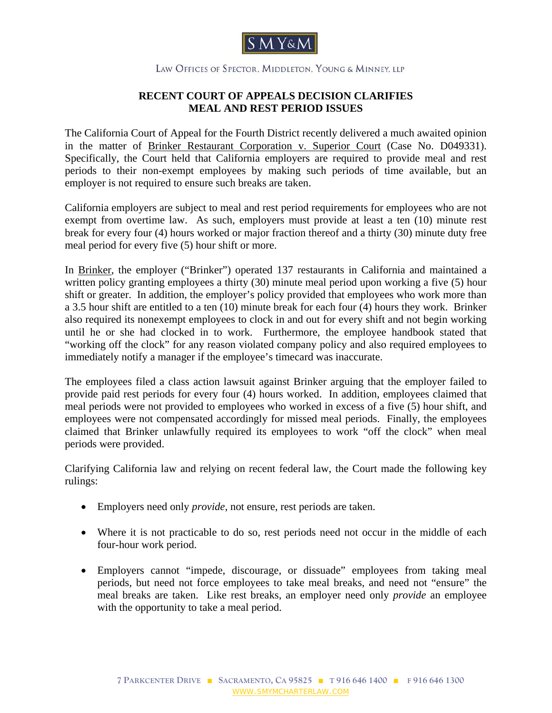

## LAW OFFICES OF SPECTOR, MIDDLETON, YOUNG & MINNEY, LLP

## **RECENT COURT OF APPEALS DECISION CLARIFIES MEAL AND REST PERIOD ISSUES**

The California Court of Appeal for the Fourth District recently delivered a much awaited opinion in the matter of [Brinker Restaurant Corporation v. Superior Court](www.smymcharterlaw.com/pdf/Brinker_memo_to_staff-7-25-08.pdf) (Case No. D049331). Specifically, the Court held that California employers are required to provide meal and rest periods to their non-exempt employees by making such periods of time available, but an employer is not required to ensure such breaks are taken.

California employers are subject to meal and rest period requirements for employees who are not exempt from overtime law. As such, employers must provide at least a ten (10) minute rest break for every four (4) hours worked or major fraction thereof and a thirty (30) minute duty free meal period for every five (5) hour shift or more.

In Brinker, the employer ("Brinker") operated 137 restaurants in California and maintained a written policy granting employees a thirty (30) minute meal period upon working a five (5) hour shift or greater. In addition, the employer's policy provided that employees who work more than a 3.5 hour shift are entitled to a ten (10) minute break for each four (4) hours they work. Brinker also required its nonexempt employees to clock in and out for every shift and not begin working until he or she had clocked in to work. Furthermore, the employee handbook stated that "working off the clock" for any reason violated company policy and also required employees to immediately notify a manager if the employee's timecard was inaccurate.

The employees filed a class action lawsuit against Brinker arguing that the employer failed to provide paid rest periods for every four (4) hours worked. In addition, employees claimed that meal periods were not provided to employees who worked in excess of a five (5) hour shift, and employees were not compensated accordingly for missed meal periods. Finally, the employees claimed that Brinker unlawfully required its employees to work "off the clock" when meal periods were provided.

Clarifying California law and relying on recent federal law, the Court made the following key rulings:

- Employers need only *provide*, not ensure, rest periods are taken.
- Where it is not practicable to do so, rest periods need not occur in the middle of each four-hour work period.
- Employers cannot "impede, discourage, or dissuade" employees from taking meal periods, but need not force employees to take meal breaks, and need not "ensure" the meal breaks are taken. Like rest breaks, an employer need only *provide* an employee with the opportunity to take a meal period.